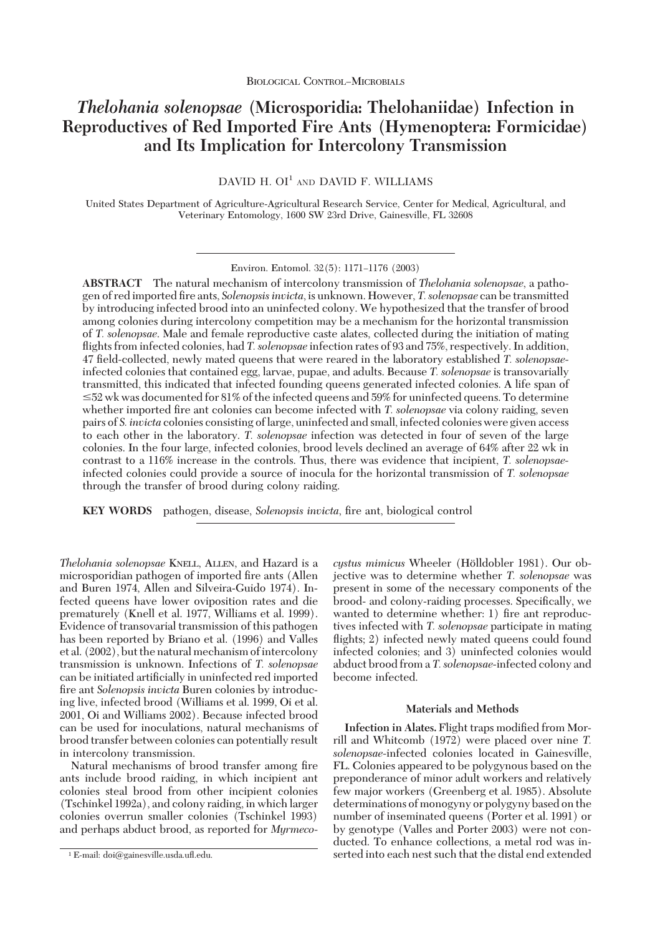# *Thelohania solenopsae* **(Microsporidia: Thelohaniidae) Infection in Reproductives of Red Imported Fire Ants (Hymenoptera: Formicidae) and Its Implication for Intercolony Transmission**

 $DAVID H. OI<sup>1</sup>$  and  $DAVID F. WILLIAMS$ 

United States Department of Agriculture-Agricultural Research Service, Center for Medical, Agricultural, and Veterinary Entomology, 1600 SW 23rd Drive, Gainesville, FL 32608

**ABSTRACT** The natural mechanism of intercolony transmission of *Thelohania solenopsae*, a pathogen of red imported Þre ants, *Solenopsisinvicta*, is unknown. However, *T.solenopsae* can be transmitted by introducing infected brood into an uninfected colony. We hypothesized that the transfer of brood among colonies during intercolony competition may be a mechanism for the horizontal transmission of *T. solenopsae*. Male and female reproductive caste alates, collected during the initiation of mating flights from infected colonies, had *T. solenopsae* infection rates of 93 and 75%, respectively. In addition, 47 Þeld-collected, newly mated queens that were reared in the laboratory established *T. solenopsae*infected colonies that contained egg, larvae, pupae, and adults. Because *T. solenopsae* is transovarially transmitted, this indicated that infected founding queens generated infected colonies. A life span of  $\leq$ 52 wk was documented for 81% of the infected queens and 59% for uninfected queens. To determine whether imported fire ant colonies can become infected with *T. solenopsae* via colony raiding, seven pairs of *S.invicta* colonies consisting oflarge, uninfected and small, infected colonieswere given access to each other in the laboratory. *T. solenopsae* infection was detected in four of seven of the large colonies. In the four large, infected colonies, brood levels declined an average of 64% after 22 wk in contrast to a 116% increase in the controls. Thus, there was evidence that incipient, *T. solenopsae*infected colonies could provide a source of inocula for the horizontal transmission of *T. solenopsae* through the transfer of brood during colony raiding.

**KEY** WORDS pathogen, disease, *Solenopsis invicta*, fire ant, biological control

*Thelohania solenopsae* KNELL, ALLEN, and Hazard is a microsporidian pathogen of imported fire ants (Allen and Buren 1974, Allen and Silveira-Guido 1974). Infected queens have lower oviposition rates and die prematurely (Knell et al. 1977, Williams et al. 1999). Evidence of transovarial transmission of this pathogen has been reported by Briano et al. (1996) and Valles et al. (2002), but the natural mechanism of intercolony transmission is unknown. Infections of *T. solenopsae* can be initiated artificially in uninfected red imported fire ant *Solenopsis invicta* Buren colonies by introducing live, infected brood (Williams et al. 1999, Oi et al. 2001, Oi and Williams 2002). Because infected brood can be used for inoculations, natural mechanisms of brood transfer between colonies can potentially result in intercolony transmission.

Natural mechanisms of brood transfer among fire ants include brood raiding, in which incipient ant colonies steal brood from other incipient colonies (Tschinkel 1992a), and colony raiding, in which larger colonies overrun smaller colonies (Tschinkel 1993) and perhaps abduct brood, as reported for *Myrmeco-*  $cystus$  *mimicus* Wheeler (Hölldobler 1981). Our objective was to determine whether *T. solenopsae* was present in some of the necessary components of the brood- and colony-raiding processes. Specifically, we wanted to determine whether: 1) fire ant reproductives infected with *T. solenopsae* participate in mating flights; 2) infected newly mated queens could found infected colonies; and 3) uninfected colonies would abduct brood from a *T.solenopsae-*infected colony and become infected.

### **Materials and Methods**

**Infection** in Alates. Flight traps modified from Morrill and Whitcomb (1972) were placed over nine *T. solenopsae-*infected colonies located in Gainesville, FL. Colonies appeared to be polygynous based on the preponderance of minor adult workers and relatively few major workers (Greenberg et al. 1985). Absolute determinations of monogyny or polygyny based on the number of inseminated queens (Porter et al. 1991) or by genotype (Valles and Porter 2003) were not conducted. To enhance collections, a metal rod was in- <sup>1</sup> E-mail: doi@gainesville.usda.ufl.edu. serted into each nest such that the distal end extended

Environ. Entomol. 32(5): 1171-1176 (2003)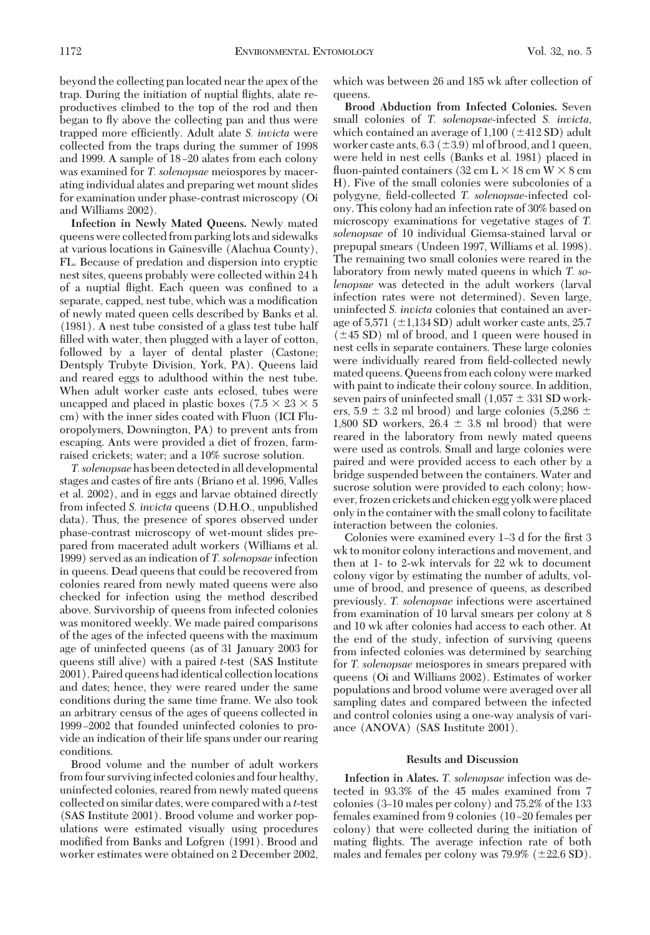beyond the collecting pan located near the apex of the trap. During the initiation of nuptial ßights, alate reproductives climbed to the top of the rod and then began to ßy above the collecting pan and thus were trapped more efficiently. Adult alate *S. invicta* were collected from the traps during the summer of 1998 and 1999. A sample of 18–20 alates from each colony was examined for *T. solenopsae* meiospores by macerating individual alates and preparing wet mount slides for examination under phase-contrast microscopy (Oi and Williams 2002).

**Infection in Newly Mated Queens.** Newly mated queenswere collected from parking lots and sidewalks at various locations in Gainesville (Alachua County), FL. Because of predation and dispersion into cryptic nest sites, queens probably were collected within 24 h of a nuptial flight. Each queen was confined to a separate, capped, nest tube, which was a modification of newly mated queen cells described by Banks et al. (1981). A nest tube consisted of a glass test tube half filled with water, then plugged with a layer of cotton, followed by a layer of dental plaster (Castone; Dentsply Trubyte Division, York, PA). Queens laid and reared eggs to adulthood within the nest tube. When adult worker caste ants eclosed, tubes were uncapped and placed in plastic boxes (7.5  $\times$  23  $\times$  5 cm) with the inner sides coated with Fluon (ICI Fluoropolymers, Downington, PA) to prevent ants from escaping. Ants were provided a diet of frozen, farmraised crickets; water; and a 10% sucrose solution.

*T.solenopsae*hasbeendetectedinalldevelopmental stages and castes of fire ants (Briano et al. 1996, Valles et al. 2002), and in eggs and larvae obtained directly from infected *S. invicta* queens (D.H.O., unpublished data). Thus, the presence of spores observed under phase-contrast microscopy of wet-mount slides prepared from macerated adult workers (Williams et al. 1999) served as an indication of *T.solenopsae* infection in queens. Dead queens that could be recovered from colonies reared from newly mated queens were also checked for infection using the method described above. Survivorship of queens from infected colonies was monitored weekly. We made paired comparisons of the ages of the infected queens with the maximum age of uninfected queens (as of 31 January 2003 for queens still alive) with a paired *t*-test (SAS Institute 2001). Paired queens had identical collection locations and dates; hence, they were reared under the same conditions during the same time frame. We also took an arbitrary census of the ages of queens collected in 1999–2002 that founded uninfected colonies to provide an indication of their life spans under our rearing conditions.

Brood volume and the number of adult workers from four surviving infected colonies and four healthy, uninfected colonies, reared from newly mated queens collected on similar dates, were compared with a *t*-test (SAS Institute 2001). Brood volume and worker populations were estimated visually using procedures modified from Banks and Lofgren (1991). Brood and worker estimates were obtained on 2 December 2002, which was between 26 and 185 wk after collection of queens.

**Brood Abduction from Infected Colonies.** Seven small colonies of *T. solenopsae-*infected *S. invicta,* which contained an average of  $1,100$  ( $\pm$ 412 SD) adult worker caste ants,  $6.3 \ (\pm 3.9)$  ml of brood, and 1 queen, were held in nest cells (Banks et al. 1981) placed in fluon-painted containers (32 cm  $L \times 18$  cm  $W \times 8$  cm H). Five of the small colonies were subcolonies of a polygyne, Þeld-collected *T. solenopsae-*infected colony. This colony had an infection rate of 30% based on microscopy examinations for vegetative stages of *T. solenopsae* of 10 individual Giemsa-stained larval or prepupal smears (Undeen 1997, Williams et al. 1998). The remaining two small colonies were reared in the laboratory from newly mated queens in which *T. solenopsae* was detected in the adult workers (larval infection rates were not determined). Seven large, uninfected *S. invicta* colonies that contained an average of  $5,571$  ( $\pm$ 1,134 SD) adult worker caste ants, 25.7  $(\pm 45$  SD) ml of brood, and 1 queen were housed in nest cells in separate containers. These large colonies were individually reared from field-collected newly mated queens. Queens from each colony were marked with paint to indicate their colony source. In addition, seven pairs of uninfected small  $(1,057 \pm 331$  SD workers,  $5.9 \pm 3.2$  ml brood) and large colonies (5,286  $\pm$ 1,800 SD workers,  $26.4 \pm 3.8$  ml brood) that were reared in the laboratory from newly mated queens were used as controls. Small and large colonies were paired and were provided access to each other by a bridge suspended between the containers. Water and sucrose solution were provided to each colony; however, frozen crickets and chicken egg yolk were placed only in the containerwith the small colony to facilitate interaction between the colonies.

Colonies were examined every 1-3 d for the first 3 wk to monitor colony interactions and movement, and then at 1- to 2-wk intervals for 22 wk to document colony vigor by estimating the number of adults, volume of brood, and presence of queens, as described previously. *T. solenopsae* infections were ascertained from examination of 10 larval smears per colony at 8 and 10 wk after colonies had access to each other. At the end of the study, infection of surviving queens from infected colonies was determined by searching for *T. solenopsae* meiospores in smears prepared with queens (Oi and Williams 2002). Estimates of worker populations and brood volume were averaged over all sampling dates and compared between the infected and control colonies using a one-way analysis of variance (ANOVA) (SAS Institute 2001).

### **Results and Discussion**

**Infection in Alates.** *T. solenopsae* infection was detected in 93.3% of the 45 males examined from 7 colonies  $(3-10 \text{ males per colony})$  and  $75.2\%$  of the 133 females examined from 9 colonies (10–20 females per colony) that were collected during the initiation of mating ßights. The average infection rate of both males and females per colony was  $79.9\%$  ( $\pm 22.6$  SD).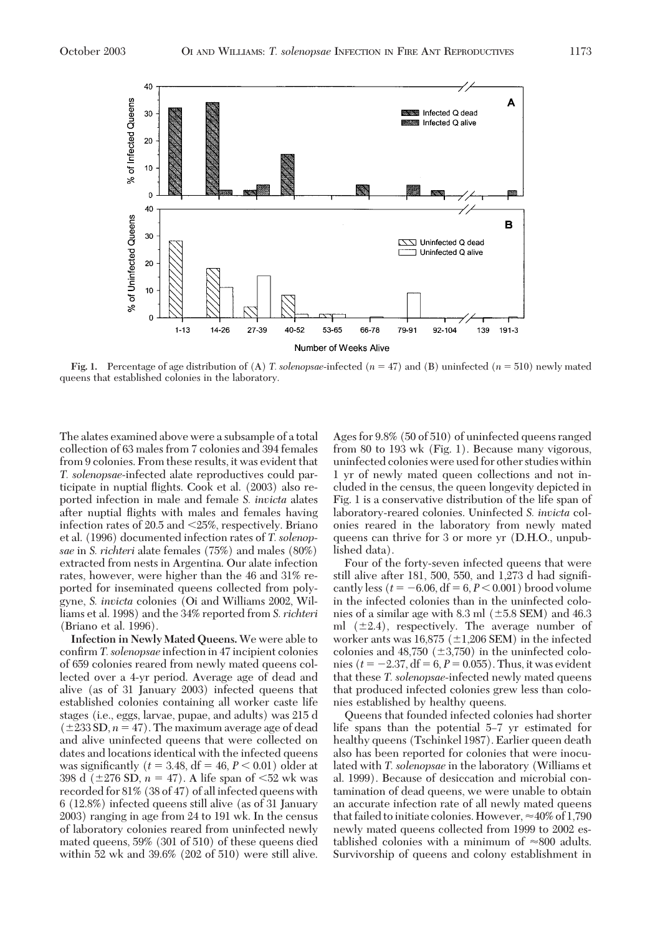

**Fig. 1.** Percentage of age distribution of (A) *T. solenopsae*-infected ( $n = 47$ ) and (B) uninfected ( $n = 510$ ) newly mated queens that established colonies in the laboratory.

The alates examined above were a subsample of a total collection of 63 males from 7 colonies and 394 females from 9 colonies. From these results, it was evident that *T. solenopsae-*infected alate reproductives could participate in nuptial ßights. Cook et al. (2003) also reported infection in male and female *S. invicta* alates after nuptial ßights with males and females having infection rates of  $20.5$  and  $\leq 25\%$ , respectively. Briano et al. (1996) documented infection rates of *T. solenopsae* in *S. richteri* alate females (75%) and males (80%) extracted from nests in Argentina. Our alate infection rates, however, were higher than the 46 and 31% reported for inseminated queens collected from polygyne, *S. invicta* colonies (Oi and Williams 2002, Williams et al. 1998) and the 34% reported from *S. richteri* (Briano et al. 1996).

**Infection in Newly Mated Queens.** We were able to confirm *T. solenopsae* infection in 47 incipient colonies of 659 colonies reared from newly mated queens collected over a 4-yr period. Average age of dead and alive (as of 31 January 2003) infected queens that established colonies containing all worker caste life stages (i.e., eggs, larvae, pupae, and adults) was 215 d  $(\pm 233 \text{ SD}, n = 47)$ . The maximum average age of dead and alive uninfected queens that were collected on dates and locations identical with the infected queens was significantly ( $t = 3.48$ , df = 46,  $P < 0.01$ ) older at 398 d ( $\pm$ 276 SD,  $n = 47$ ). A life span of  $\leq$ 52 wk was recorded for 81% (38 of 47) of all infected queens with 6 (12.8%) infected queens still alive (as of 31 January 2003) ranging in age from 24 to 191 wk. In the census of laboratory colonies reared from uninfected newly mated queens, 59% (301 of 510) of these queens died within 52 wk and 39.6% (202 of 510) were still alive. Agesfor 9.8% (50 of 510) of uninfected queens ranged from 80 to 193 wk (Fig. 1). Because many vigorous, uninfected colonieswere used for other studieswithin 1 yr of newly mated queen collections and not included in the census, the queen longevity depicted in Fig. 1 is a conservative distribution of the life span of laboratory-reared colonies. Uninfected *S. invicta* colonies reared in the laboratory from newly mated queens can thrive for 3 or more yr (D.H.O., unpublished data).

Four of the forty-seven infected queens that were still alive after 181, 500, 550, and 1,273 d had signiÞcantly less ( $t = -6.06$ , df =  $6, P < 0.001$ ) brood volume in the infected colonies than in the uninfected colonies of a similar age with 8.3 ml  $(\pm 5.8 \text{ SEM})$  and 46.3 ml  $(\pm 2.4)$ , respectively. The average number of worker ants was  $16,875 \ (\pm 1,206 \text{ SEM})$  in the infected colonies and  $48,750 \ (\pm 3,750)$  in the uninfected colonies ( $t = -2.37$ , df = 6,  $P = 0.055$ ). Thus, it was evident that these *T. solenopsae-*infected newly mated queens that produced infected colonies grew less than colonies established by healthy queens.

Queens that founded infected colonies had shorter life spans than the potential 5–7 yr estimated for healthy queens (Tschinkel 1987). Earlier queen death also has been reported for colonies that were inoculated with *T. solenopsae* in the laboratory (Williams et al. 1999). Because of desiccation and microbial contamination of dead queens, we were unable to obtain an accurate infection rate of all newly mated queens that failed to initiate colonies. However,  $\approx\!40\%$  of 1,790 newly mated queens collected from 1999 to 2002 established colonies with a minimum of  $\approx 800$  adults. Survivorship of queens and colony establishment in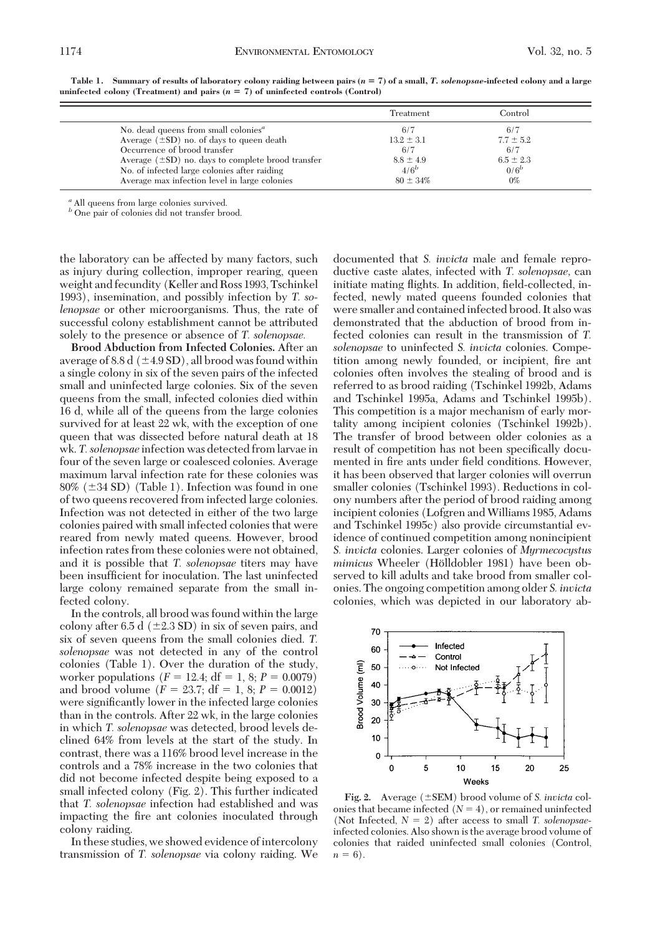|                                                        | Treatment      | Control       |  |
|--------------------------------------------------------|----------------|---------------|--|
| No. dead queens from small colonies <sup>a</sup>       | 6/7            | 6/7           |  |
| Average $(\pm SD)$ no. of days to queen death          | $13.2 \pm 3.1$ | $7.7 \pm 5.2$ |  |
| Occurrence of brood transfer                           | 6/7            | 6/7           |  |
| Average $(\pm SD)$ no. days to complete brood transfer | $8.8 \pm 4.9$  | $6.5 \pm 2.3$ |  |
| No. of infected large colonies after raiding           | $4/6^b$        | $0/6^b$       |  |
| Average max infection level in large colonies          | $80 \pm 34\%$  | $0\%$         |  |

Table 1. Summary of results of laboratory colony raiding between pairs  $(n = 7)$  of a small, T. solenopsae-infected colony and a large **uninfected colony** (Treatment) and pairs  $(n = 7)$  of **uninfected controls** (Control)

*<sup>a</sup>* All queens from large colonies survived. *<sup>b</sup>* One pair of colonies did not transfer brood.

the laboratory can be affected by many factors, such as injury during collection, improper rearing, queen weight and fecundity (Keller and Ross 1993, Tschinkel 1993), insemination, and possibly infection by *T. solenopsae* or other microorganisms. Thus, the rate of successful colony establishment cannot be attributed solely to the presence or absence of *T. solenopsae.*

**Brood Abduction from Infected Colonies.** After an average of 8.8 d ( $\pm$ 4.9 SD), all brood was found within a single colony in six of the seven pairs of the infected small and uninfected large colonies. Six of the seven queens from the small, infected colonies died within 16 d, while all of the queens from the large colonies survived for at least 22 wk, with the exception of one queen that was dissected before natural death at 18 wk. *T.solenopsae* infection was detected from larvae in four of the seven large or coalesced colonies. Average maximum larval infection rate for these colonies was  $80\%$  ( $\pm 34$  SD) (Table 1). Infection was found in one of two queens recovered from infected large colonies. Infection was not detected in either of the two large colonies paired with small infected coloniesthat were reared from newly mated queens. However, brood infection rates from these colonies were not obtained, and it is possible that *T. solenopsae* titers may have been insufficient for inoculation. The last uninfected large colony remained separate from the small infected colony.

In the controls, all brood wasfound within the large colony after 6.5 d  $(\pm 2.3 \text{ SD})$  in six of seven pairs, and six of seven queens from the small colonies died. *T. solenopsae* was not detected in any of the control colonies (Table 1). Over the duration of the study, worker populations  $(F = 12.4; df = 1, 8; P = 0.0079)$ and brood volume  $(F = 23.7; df = 1, 8; P = 0.0012)$ were significantly lower in the infected large colonies than in the controls. After 22 wk, in the large colonies in which *T. solenopsae* was detected, brood levels declined 64% from levels at the start of the study. In contrast, there was a 116% brood level increase in the controls and a 78% increase in the two colonies that did not become infected despite being exposed to a small infected colony (Fig. 2). This further indicated that *T. solenopsae* infection had established and was impacting the fire ant colonies inoculated through colony raiding.

In these studies, we showed evidence of intercolony transmission of *T. solenopsae* via colony raiding. We documented that *S. invicta* male and female reproductive caste alates, infected with *T. solenopsae,* can initiate mating flights. In addition, field-collected, infected, newly mated queens founded colonies that were smaller and contained infected brood.It also was demonstrated that the abduction of brood from infected colonies can result in the transmission of *T. solenopsae* to uninfected *S. invicta* colonies. Competition among newly founded, or incipient, fire ant colonies often involves the stealing of brood and is referred to as brood raiding (Tschinkel 1992b, Adams and Tschinkel 1995a, Adams and Tschinkel 1995b). This competition is a major mechanism of early mortality among incipient colonies (Tschinkel 1992b). The transfer of brood between older colonies as a result of competition has not been specifically documented in fire ants under field conditions. However, it has been observed that larger colonies will overrun smaller colonies (Tschinkel 1993). Reductions in colony numbers after the period of brood raiding among incipient colonies (Lofgren and Williams 1985, Adams and Tschinkel 1995c) also provide circumstantial evidence of continued competition among nonincipient *S. invicta* colonies. Larger colonies of *Myrmecocystus mimicus* Wheeler (Hölldobler 1981) have been observed to kill adults and take brood from smaller colonies. The ongoing competition among older *S. invicta* colonies, which was depicted in our laboratory ab-



**Fig. 2.** Average  $(\pm$ SEM) brood volume of *S. invicta* colonies that became infected  $(N = 4)$ , or remained uninfected (Not Infected,  $N = 2$ ) after access to small *T. solenopsae*infected colonies. Also shown isthe average brood volume of colonies that raided uninfected small colonies (Control,  $n = 6$ ).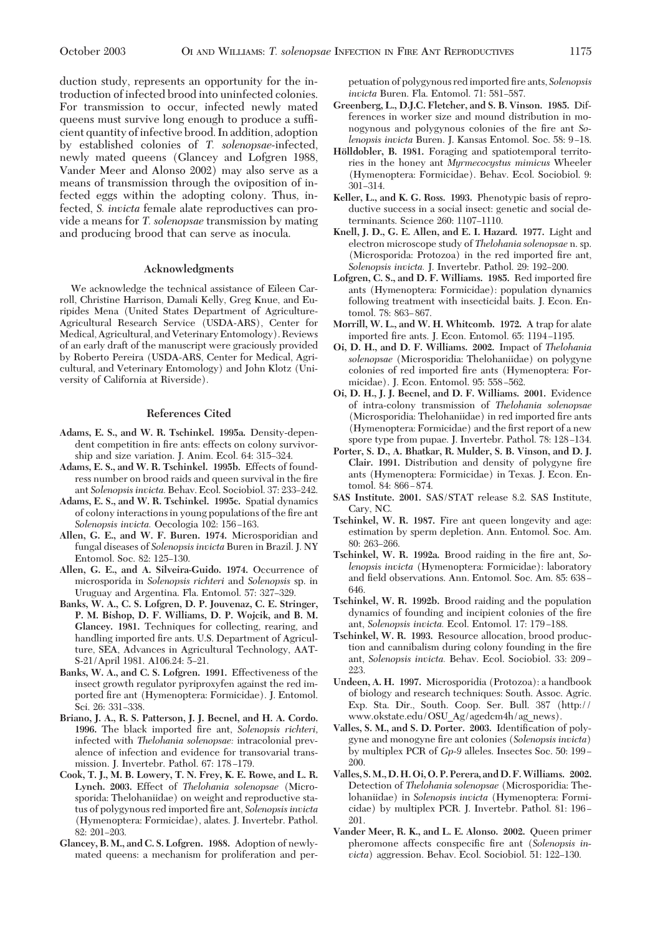duction study, represents an opportunity for the introduction of infected brood into uninfected colonies. For transmission to occur, infected newly mated queens must survive long enough to produce a sufÞcient quantity ofinfective brood.In addition, adoption by established colonies of *T. solenopsae*-infected, newly mated queens (Glancey and Lofgren 1988, Vander Meer and Alonso 2002) may also serve as a means of transmission through the oviposition of infected eggs within the adopting colony. Thus, infected, *S. invicta* female alate reproductives can provide a means for *T. solenopsae* transmission by mating and producing brood that can serve as inocula.

#### **Acknowledgments**

We acknowledge the technical assistance of Eileen Carroll, Christine Harrison, Damali Kelly, Greg Knue, and Euripides Mena (United States Department of Agriculture-Agricultural Research Service (USDA-ARS), Center for Medical, Agricultural, and Veterinary Entomology). Reviews of an early draft of the manuscript were graciously provided by Roberto Pereira (USDA-ARS, Center for Medical, Agricultural, and Veterinary Entomology) and John Klotz (University of California at Riverside).

## **References Cited**

- **Adams, E. S., and W. R. Tschinkel. 1995a.** Density-dependent competition in fire ants: effects on colony survivorship and size variation. J. Anim. Ecol. 64: 315-324.
- **Adams, E. S., and W. R. Tschinkel. 1995b.** Effects of foundress number on brood raids and queen survival in the fire ant *Solenopsis invicta*. Behav. Ecol. Sociobiol. 37: 233–242.
- **Adams, E. S., and W. R. Tschinkel. 1995c.** Spatial dynamics of colony interactions in young populations of the fire ant *Solenopsis invicta.* Oecologia 102: 156–163.
- **Allen, G. E., and W. F. Buren. 1974.** Microsporidian and fungal diseases of *Solenopsis invicta* Buren in Brazil. J. NY Entomol. Soc. 82: 125-130.
- **Allen, G. E., and A. Silveira-Guido. 1974.** Occurrence of microsporida in *Solenopsis richteri* and *Solenopsis* sp. in Uruguay and Argentina. Fla. Entomol. 57: 327-329.
- **Banks, W. A., C. S. Lofgren, D. P. Jouvenaz, C. E. Stringer, P. M. Bishop, D. F. Williams, D. P. Wojcik, and B. M. Glancey. 1981.** Techniques for collecting, rearing, and handling imported fire ants. U.S. Department of Agriculture, SEA, Advances in Agricultural Technology, AAT-S-21/April 1981. A106.24: 5-21.
- **Banks, W. A., and C. S. Lofgren. 1991.** Effectiveness of the insect growth regulator pyriproxyfen against the red imported fire ant (Hymenoptera: Formicidae). J. Entomol. Sci. 26: 331-338.
- **Briano, J. A., R. S. Patterson, J. J. Becnel, and H. A. Cordo.** 1996. The black imported fire ant, *Solenopsis richteri*, infected with *Thelohania solenopsae:* intracolonial prevalence of infection and evidence for transovarial transmission. J. Invertebr. Pathol. 67: 178-179.
- **Cook, T. J., M. B. Lowery, T. N. Frey, K. E. Rowe, and L. R. Lynch. 2003.** Effect of *Thelohania solenopsae* (Microsporida: Thelohaniidae) on weight and reproductive status of polygynous red imported fire ant, *Solenopsis invicta* (Hymenoptera: Formicidae), alates. J. Invertebr. Pathol. 82: 201-203.
- **Glancey, B. M., and C. S. Lofgren. 1988.** Adoption of newlymated queens: a mechanism for proliferation and per-

petuation of polygynous red imported Þre ants, *Solenopsis invicta* Buren. Fla. Entomol. 71: 581-587.

- **Greenberg, L., D.J.C. Fletcher, and S. B. Vinson. 1985.** Differences in worker size and mound distribution in monogynous and polygynous colonies of the fire ant *Solenopsis invicta* Buren. J. Kansas Entomol. Soc. 58: 9-18.
- **Ho¨lldobler, B. 1981.** Foraging and spatiotemporal territories in the honey ant *Myrmecocystus mimicus* Wheeler (Hymenoptera: Formicidae). Behav. Ecol. Sociobiol. 9: 301-314.
- **Keller, L., and K. G. Ross. 1993.** Phenotypic basis of reproductive success in a social insect: genetic and social determinants. Science 260: 1107-1110.
- **Knell, J. D., G. E. Allen, and E. I. Hazard. 1977.** Light and electron microscope study of *Thelohania solenopsae* n.sp. (Microsporida: Protozoa) in the red imported fire ant, *Solenopsis invicta.* J. Invertebr. Pathol. 29: 192-200.
- **Lofgren, C. S., and D. F. Williams. 1985.** Red imported Þre ants (Hymenoptera: Formicidae): population dynamics following treatment with insecticidal baits. J. Econ. Entomol. 78: 863-867.
- **Morrill, W. L., and W. H. Whitcomb. 1972.** A trap for alate imported fire ants. J. Econ. Entomol. 65: 1194-1195.
- **Oi, D. H., and D. F. Williams. 2002.** Impact of *Thelohania solenopsae* (Microsporidia: Thelohaniidae) on polygyne colonies of red imported fire ants (Hymenoptera: Formicidae). J. Econ. Entomol. 95: 558-562.
- **Oi, D. H., J. J. Becnel, and D. F. Williams. 2001.** Evidence of intra-colony transmission of *Thelohania solenopsae* (Microsporidia: Thelohaniidae) in red imported fire ants (Hymenoptera: Formicidae) and the first report of a new spore type from pupae. J. Invertebr. Pathol. 78: 128–134.
- **Porter, S. D., A. Bhatkar, R. Mulder, S. B. Vinson, and D. J. Clair. 1991.** Distribution and density of polygyne fire ants (Hymenoptera: Formicidae) in Texas. J. Econ. Entomol. 84: 866-874.
- **SAS Institute. 2001.** SAS/STAT release 8.2. SAS Institute, Cary, NC.
- **Tschinkel, W. R. 1987.** Fire ant queen longevity and age: estimation by sperm depletion. Ann. Entomol. Soc. Am. 80: 263-266.
- **Tschinkel, W. R. 1992a.** Brood raiding in the fire ant, So*lenopsis invicta* (Hymenoptera: Formicidae): laboratory and field observations. Ann. Entomol. Soc. Am. 85: 638 -646.
- **Tschinkel, W. R. 1992b.** Brood raiding and the population dynamics of founding and incipient colonies of the fire ant, *Solenopsis invicta*. Ecol. Entomol. 17: 179-188.
- **Tschinkel, W. R. 1993.** Resource allocation, brood production and cannibalism during colony founding in the fire ant, *Solenopsis invicta*. Behav. Ecol. Sociobiol. 33: 209 -223.
- **Undeen, A. H. 1997.** Microsporidia (Protozoa): a handbook of biology and research techniques: South. Assoc. Agric. Exp. Sta. Dir., South. Coop. Ser. Bull. 387 (http:// www.okstate.edu/OSU\_Ag/agedcm4h/ag\_news).
- **Valles, S. M., and S. D. Porter.** 2003. Identification of polygyne and monogyne Þre ant colonies (*Solenopsis invicta*) by multiplex PCR of *Gp*-9 alleles. Insectes Soc. 50: 199– 200.
- **Valles, S.M., D. H. Oi, O.P.Perera, and D.F.Williams. 2002.** Detection of *Thelohania solenopsae* (Microsporidia: Thelohaniidae) in *Solenopsis invicta* (Hymenoptera: Formicidae) by multiplex PCR. J. Invertebr. Pathol. 81: 196– 201.
- **Vander Meer, R. K., and L. E. Alonso. 2002.** Queen primer pheromone affects conspecific fire ant (*Solenopsis in*victa) aggression. Behav. Ecol. Sociobiol. 51: 122-130.